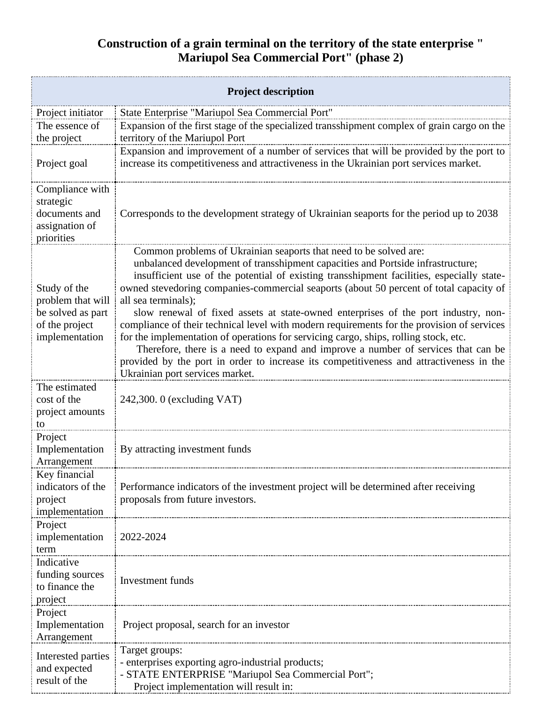## **Construction of a grain terminal on the territory of the state enterprise " Mariupol Sea Commercial Port" (phase 2)**

| <b>Project description</b>                                                                 |                                                                                                                                                                                                                                                                                                                                                                                                                                                                                                                                                                                                                                                                                                                                                                                                                                                                   |
|--------------------------------------------------------------------------------------------|-------------------------------------------------------------------------------------------------------------------------------------------------------------------------------------------------------------------------------------------------------------------------------------------------------------------------------------------------------------------------------------------------------------------------------------------------------------------------------------------------------------------------------------------------------------------------------------------------------------------------------------------------------------------------------------------------------------------------------------------------------------------------------------------------------------------------------------------------------------------|
| Project initiator                                                                          | State Enterprise "Mariupol Sea Commercial Port"                                                                                                                                                                                                                                                                                                                                                                                                                                                                                                                                                                                                                                                                                                                                                                                                                   |
| The essence of                                                                             | Expansion of the first stage of the specialized transshipment complex of grain cargo on the                                                                                                                                                                                                                                                                                                                                                                                                                                                                                                                                                                                                                                                                                                                                                                       |
| the project                                                                                | territory of the Mariupol Port                                                                                                                                                                                                                                                                                                                                                                                                                                                                                                                                                                                                                                                                                                                                                                                                                                    |
| Project goal                                                                               | Expansion and improvement of a number of services that will be provided by the port to<br>increase its competitiveness and attractiveness in the Ukrainian port services market.                                                                                                                                                                                                                                                                                                                                                                                                                                                                                                                                                                                                                                                                                  |
| Compliance with<br>strategic<br>documents and<br>assignation of<br>priorities              | Corresponds to the development strategy of Ukrainian seaports for the period up to 2038                                                                                                                                                                                                                                                                                                                                                                                                                                                                                                                                                                                                                                                                                                                                                                           |
| Study of the<br>problem that will<br>be solved as part<br>of the project<br>implementation | Common problems of Ukrainian seaports that need to be solved are:<br>unbalanced development of transshipment capacities and Portside infrastructure;<br>insufficient use of the potential of existing transshipment facilities, especially state-<br>owned stevedoring companies-commercial seaports (about 50 percent of total capacity of<br>all sea terminals);<br>slow renewal of fixed assets at state-owned enterprises of the port industry, non-<br>compliance of their technical level with modern requirements for the provision of services<br>for the implementation of operations for servicing cargo, ships, rolling stock, etc.<br>Therefore, there is a need to expand and improve a number of services that can be<br>provided by the port in order to increase its competitiveness and attractiveness in the<br>Ukrainian port services market. |
| The estimated<br>cost of the<br>project amounts<br>to                                      | 242,300. 0 (excluding VAT)                                                                                                                                                                                                                                                                                                                                                                                                                                                                                                                                                                                                                                                                                                                                                                                                                                        |
| Project<br>Implementation<br>Arrangement                                                   | By attracting investment funds                                                                                                                                                                                                                                                                                                                                                                                                                                                                                                                                                                                                                                                                                                                                                                                                                                    |
| Key financial<br>indicators of the<br>project<br>implementation                            | Performance indicators of the investment project will be determined after receiving<br>proposals from future investors.                                                                                                                                                                                                                                                                                                                                                                                                                                                                                                                                                                                                                                                                                                                                           |
| Project<br>implementation<br>term                                                          | 2022-2024                                                                                                                                                                                                                                                                                                                                                                                                                                                                                                                                                                                                                                                                                                                                                                                                                                                         |
| Indicative<br>funding sources<br>to finance the<br>project                                 | Investment funds                                                                                                                                                                                                                                                                                                                                                                                                                                                                                                                                                                                                                                                                                                                                                                                                                                                  |
| Project<br>Implementation<br>Arrangement                                                   | Project proposal, search for an investor                                                                                                                                                                                                                                                                                                                                                                                                                                                                                                                                                                                                                                                                                                                                                                                                                          |
| Interested parties<br>and expected<br>result of the                                        | Target groups:<br>- enterprises exporting agro-industrial products;<br>- STATE ENTERPRISE "Mariupol Sea Commercial Port";<br>Project implementation will result in:                                                                                                                                                                                                                                                                                                                                                                                                                                                                                                                                                                                                                                                                                               |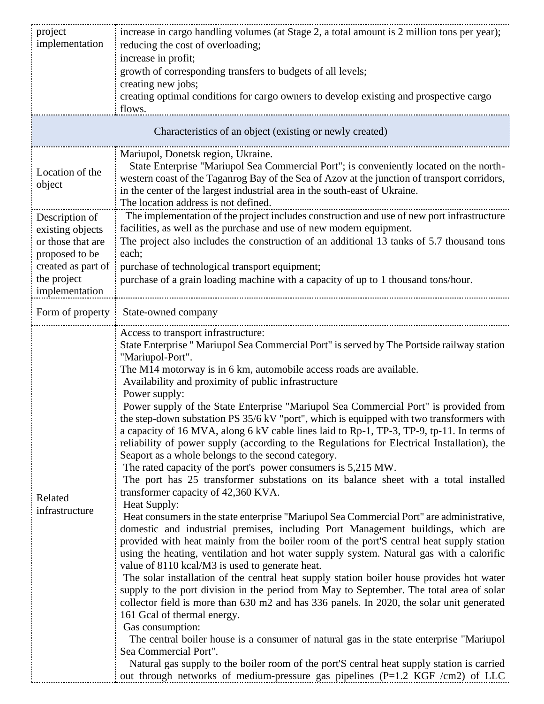| implementation<br>reducing the cost of overloading;<br>increase in profit;<br>growth of corresponding transfers to budgets of all levels;<br>creating new jobs;<br>creating optimal conditions for cargo owners to develop existing and prospective cargo<br>flows.<br>Characteristics of an object (existing or newly created)<br>Mariupol, Donetsk region, Ukraine.<br>State Enterprise "Mariupol Sea Commercial Port"; is conveniently located on the north-<br>Location of the<br>western coast of the Taganrog Bay of the Sea of Azov at the junction of transport corridors,<br>object<br>in the center of the largest industrial area in the south-east of Ukraine.<br>The location address is not defined.<br>The implementation of the project includes construction and use of new port infrastructure<br>Description of<br>facilities, as well as the purchase and use of new modern equipment.<br>existing objects<br>The project also includes the construction of an additional 13 tanks of 5.7 thousand tons<br>or those that are<br>each;<br>proposed to be<br>created as part of<br>purchase of technological transport equipment;<br>the project<br>purchase of a grain loading machine with a capacity of up to 1 thousand tons/hour.<br>implementation                                                                                                                                                                                                                                                                                                                                                                                                                                                                                                                                                                                                             |
|----------------------------------------------------------------------------------------------------------------------------------------------------------------------------------------------------------------------------------------------------------------------------------------------------------------------------------------------------------------------------------------------------------------------------------------------------------------------------------------------------------------------------------------------------------------------------------------------------------------------------------------------------------------------------------------------------------------------------------------------------------------------------------------------------------------------------------------------------------------------------------------------------------------------------------------------------------------------------------------------------------------------------------------------------------------------------------------------------------------------------------------------------------------------------------------------------------------------------------------------------------------------------------------------------------------------------------------------------------------------------------------------------------------------------------------------------------------------------------------------------------------------------------------------------------------------------------------------------------------------------------------------------------------------------------------------------------------------------------------------------------------------------------------------------------------------------------------------------------------------------------------|
|                                                                                                                                                                                                                                                                                                                                                                                                                                                                                                                                                                                                                                                                                                                                                                                                                                                                                                                                                                                                                                                                                                                                                                                                                                                                                                                                                                                                                                                                                                                                                                                                                                                                                                                                                                                                                                                                                        |
|                                                                                                                                                                                                                                                                                                                                                                                                                                                                                                                                                                                                                                                                                                                                                                                                                                                                                                                                                                                                                                                                                                                                                                                                                                                                                                                                                                                                                                                                                                                                                                                                                                                                                                                                                                                                                                                                                        |
|                                                                                                                                                                                                                                                                                                                                                                                                                                                                                                                                                                                                                                                                                                                                                                                                                                                                                                                                                                                                                                                                                                                                                                                                                                                                                                                                                                                                                                                                                                                                                                                                                                                                                                                                                                                                                                                                                        |
|                                                                                                                                                                                                                                                                                                                                                                                                                                                                                                                                                                                                                                                                                                                                                                                                                                                                                                                                                                                                                                                                                                                                                                                                                                                                                                                                                                                                                                                                                                                                                                                                                                                                                                                                                                                                                                                                                        |
|                                                                                                                                                                                                                                                                                                                                                                                                                                                                                                                                                                                                                                                                                                                                                                                                                                                                                                                                                                                                                                                                                                                                                                                                                                                                                                                                                                                                                                                                                                                                                                                                                                                                                                                                                                                                                                                                                        |
|                                                                                                                                                                                                                                                                                                                                                                                                                                                                                                                                                                                                                                                                                                                                                                                                                                                                                                                                                                                                                                                                                                                                                                                                                                                                                                                                                                                                                                                                                                                                                                                                                                                                                                                                                                                                                                                                                        |
|                                                                                                                                                                                                                                                                                                                                                                                                                                                                                                                                                                                                                                                                                                                                                                                                                                                                                                                                                                                                                                                                                                                                                                                                                                                                                                                                                                                                                                                                                                                                                                                                                                                                                                                                                                                                                                                                                        |
|                                                                                                                                                                                                                                                                                                                                                                                                                                                                                                                                                                                                                                                                                                                                                                                                                                                                                                                                                                                                                                                                                                                                                                                                                                                                                                                                                                                                                                                                                                                                                                                                                                                                                                                                                                                                                                                                                        |
|                                                                                                                                                                                                                                                                                                                                                                                                                                                                                                                                                                                                                                                                                                                                                                                                                                                                                                                                                                                                                                                                                                                                                                                                                                                                                                                                                                                                                                                                                                                                                                                                                                                                                                                                                                                                                                                                                        |
|                                                                                                                                                                                                                                                                                                                                                                                                                                                                                                                                                                                                                                                                                                                                                                                                                                                                                                                                                                                                                                                                                                                                                                                                                                                                                                                                                                                                                                                                                                                                                                                                                                                                                                                                                                                                                                                                                        |
|                                                                                                                                                                                                                                                                                                                                                                                                                                                                                                                                                                                                                                                                                                                                                                                                                                                                                                                                                                                                                                                                                                                                                                                                                                                                                                                                                                                                                                                                                                                                                                                                                                                                                                                                                                                                                                                                                        |
|                                                                                                                                                                                                                                                                                                                                                                                                                                                                                                                                                                                                                                                                                                                                                                                                                                                                                                                                                                                                                                                                                                                                                                                                                                                                                                                                                                                                                                                                                                                                                                                                                                                                                                                                                                                                                                                                                        |
|                                                                                                                                                                                                                                                                                                                                                                                                                                                                                                                                                                                                                                                                                                                                                                                                                                                                                                                                                                                                                                                                                                                                                                                                                                                                                                                                                                                                                                                                                                                                                                                                                                                                                                                                                                                                                                                                                        |
|                                                                                                                                                                                                                                                                                                                                                                                                                                                                                                                                                                                                                                                                                                                                                                                                                                                                                                                                                                                                                                                                                                                                                                                                                                                                                                                                                                                                                                                                                                                                                                                                                                                                                                                                                                                                                                                                                        |
|                                                                                                                                                                                                                                                                                                                                                                                                                                                                                                                                                                                                                                                                                                                                                                                                                                                                                                                                                                                                                                                                                                                                                                                                                                                                                                                                                                                                                                                                                                                                                                                                                                                                                                                                                                                                                                                                                        |
|                                                                                                                                                                                                                                                                                                                                                                                                                                                                                                                                                                                                                                                                                                                                                                                                                                                                                                                                                                                                                                                                                                                                                                                                                                                                                                                                                                                                                                                                                                                                                                                                                                                                                                                                                                                                                                                                                        |
|                                                                                                                                                                                                                                                                                                                                                                                                                                                                                                                                                                                                                                                                                                                                                                                                                                                                                                                                                                                                                                                                                                                                                                                                                                                                                                                                                                                                                                                                                                                                                                                                                                                                                                                                                                                                                                                                                        |
|                                                                                                                                                                                                                                                                                                                                                                                                                                                                                                                                                                                                                                                                                                                                                                                                                                                                                                                                                                                                                                                                                                                                                                                                                                                                                                                                                                                                                                                                                                                                                                                                                                                                                                                                                                                                                                                                                        |
| Form of property<br>State-owned company                                                                                                                                                                                                                                                                                                                                                                                                                                                                                                                                                                                                                                                                                                                                                                                                                                                                                                                                                                                                                                                                                                                                                                                                                                                                                                                                                                                                                                                                                                                                                                                                                                                                                                                                                                                                                                                |
| Access to transport infrastructure:<br>State Enterprise "Mariupol Sea Commercial Port" is served by The Portside railway station<br>"Mariupol-Port".<br>The M14 motorway is in 6 km, automobile access roads are available.<br>Availability and proximity of public infrastructure<br>Power supply:<br>Power supply of the State Enterprise "Mariupol Sea Commercial Port" is provided from<br>the step-down substation PS 35/6 kV "port", which is equipped with two transformers with<br>a capacity of 16 MVA, along 6 kV cable lines laid to Rp-1, TP-3, TP-9, tp-11. In terms of<br>reliability of power supply (according to the Regulations for Electrical Installation), the<br>Seaport as a whole belongs to the second category.<br>The rated capacity of the port's power consumers is 5,215 MW.<br>The port has 25 transformer substations on its balance sheet with a total installed<br>transformer capacity of 42,360 KVA.<br>Related<br><b>Heat Supply:</b><br>infrastructure<br>Heat consumers in the state enterprise "Mariupol Sea Commercial Port" are administrative,<br>domestic and industrial premises, including Port Management buildings, which are<br>provided with heat mainly from the boiler room of the port'S central heat supply station<br>using the heating, ventilation and hot water supply system. Natural gas with a calorific<br>value of 8110 kcal/M3 is used to generate heat.<br>The solar installation of the central heat supply station boiler house provides hot water<br>supply to the port division in the period from May to September. The total area of solar<br>collector field is more than 630 m2 and has 336 panels. In 2020, the solar unit generated<br>161 Gcal of thermal energy.<br>Gas consumption:<br>The central boiler house is a consumer of natural gas in the state enterprise "Mariupol"<br>Sea Commercial Port". |
| Natural gas supply to the boiler room of the port'S central heat supply station is carried<br>out through networks of medium-pressure gas pipelines ( $P=1.2$ KGF /cm2) of LLC                                                                                                                                                                                                                                                                                                                                                                                                                                                                                                                                                                                                                                                                                                                                                                                                                                                                                                                                                                                                                                                                                                                                                                                                                                                                                                                                                                                                                                                                                                                                                                                                                                                                                                         |